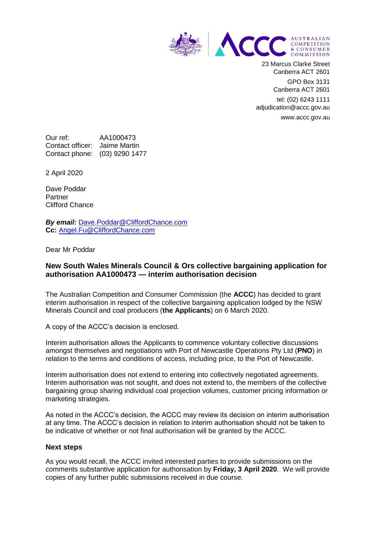

23 Marcus Clarke Street Canberra ACT 2601

> GPO Box 3131 Canberra ACT 2601

tel: (02) 6243 1111 adjudication@accc.gov.au www.accc.gov.au

Our ref: AA1000473 Contact officer: Jaime Martin Contact phone: (03) 9290 1477

2 April 2020

Dave Poddar Partner Clifford Chance

*By email:* [Dave.Poddar@CliffordChance.com](mailto:Dave.Poddar@CliffordChance.com) **Cc:** [Angel.Fu@CliffordChance.com](mailto:Angel.Fu@CliffordChance.com)

Dear Mr Poddar

## **New South Wales Minerals Council & Ors collective bargaining application for authorisation AA1000473 — interim authorisation decision**

The Australian Competition and Consumer Commission (the **ACCC**) has decided to grant interim authorisation in respect of the collective bargaining application lodged by the NSW Minerals Council and coal producers (**the Applicants**) on 6 March 2020.

A copy of the ACCC's decision is enclosed.

Interim authorisation allows the Applicants to commence voluntary collective discussions amongst themselves and negotiations with Port of Newcastle Operations Pty Ltd (**PNO**) in relation to the terms and conditions of access, including price, to the Port of Newcastle.

Interim authorisation does not extend to entering into collectively negotiated agreements. Interim authorisation was not sought, and does not extend to, the members of the collective bargaining group sharing individual coal projection volumes, customer pricing information or marketing strategies.

As noted in the ACCC's decision, the ACCC may review its decision on interim authorisation at any time. The ACCC's decision in relation to interim authorisation should not be taken to be indicative of whether or not final authorisation will be granted by the ACCC.

## **Next steps**

As you would recall, the ACCC invited interested parties to provide submissions on the comments substantive application for authorisation by **Friday, 3 April 2020**. We will provide copies of any further public submissions received in due course.